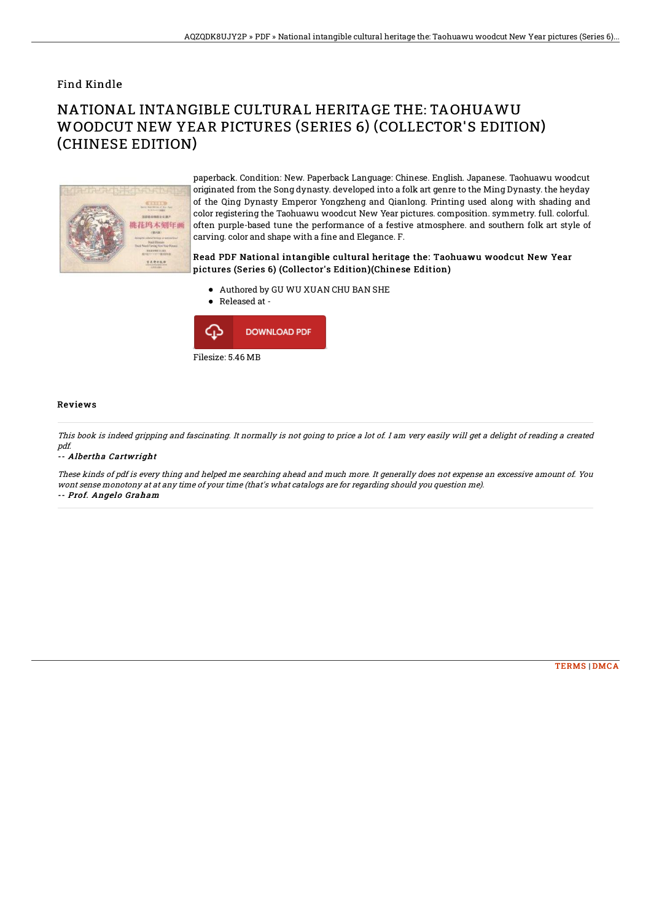## Find Kindle

# NATIONAL INTANGIBLE CULTURAL HERITAGE THE: TAOHUAWU WOODCUT NEW YEAR PICTURES (SERIES 6) (COLLECTOR'S EDITION) (CHINESE EDITION)



paperback. Condition: New. Paperback Language: Chinese. English. Japanese. Taohuawu woodcut originated from the Song dynasty. developed into a folk art genre to the Ming Dynasty. the heyday of the Qing Dynasty Emperor Yongzheng and Qianlong. Printing used along with shading and color registering the Taohuawu woodcut New Year pictures. composition. symmetry. full. colorful. often purple-based tune the performance of a festive atmosphere. and southern folk art style of carving. color and shape with a fine and Elegance. F.

### Read PDF National intangible cultural heritage the: Taohuawu woodcut New Year pictures (Series 6) (Collector's Edition)(Chinese Edition)

- Authored by GU WU XUAN CHU BAN SHE
- $\bullet$  Released at -



#### Reviews

This book is indeed gripping and fascinating. It normally is not going to price <sup>a</sup> lot of. I am very easily will get <sup>a</sup> delight of reading <sup>a</sup> created pdf.

#### -- Albertha Cartwright

These kinds of pdf is every thing and helped me searching ahead and much more. It generally does not expense an excessive amount of. You wont sense monotony at at any time of your time (that's what catalogs are for regarding should you question me). -- Prof. Angelo Graham